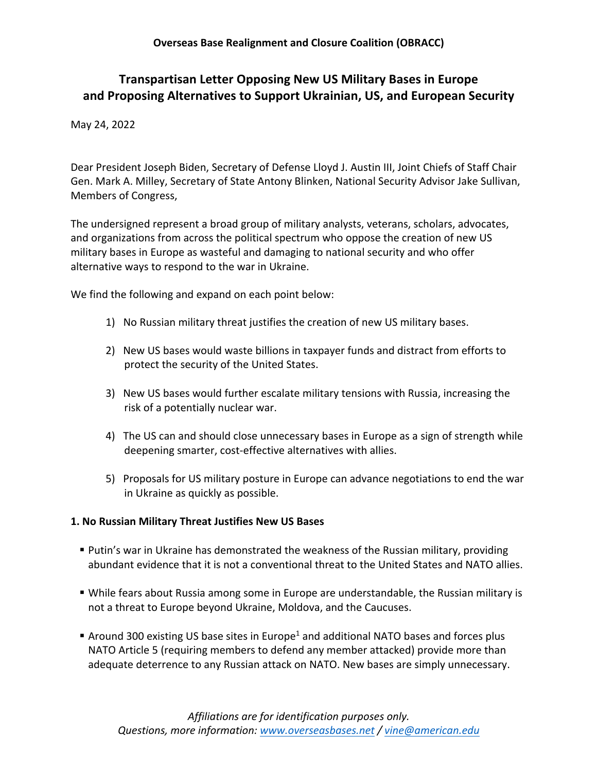# **Transpartisan Letter Opposing New US Military Bases in Europe and Proposing Alternatives to Support Ukrainian, US, and European Security**

May 24, 2022

Dear President Joseph Biden, Secretary of Defense Lloyd J. Austin III, Joint Chiefs of Staff Chair Gen. Mark A. Milley, Secretary of State Antony Blinken, National Security Advisor Jake Sullivan, Members of Congress,

The undersigned represent a broad group of military analysts, veterans, scholars, advocates, and organizations from across the political spectrum who oppose the creation of new US military bases in Europe as wasteful and damaging to national security and who offer alternative ways to respond to the war in Ukraine.

We find the following and expand on each point below:

- 1) No Russian military threat justifies the creation of new US military bases.
- 2) New US bases would waste billions in taxpayer funds and distract from efforts to protect the security of the United States.
- 3) New US bases would further escalate military tensions with Russia, increasing the risk of a potentially nuclear war.
- 4) The US can and should close unnecessary bases in Europe as a sign of strength while deepening smarter, cost-effective alternatives with allies.
- 5) Proposals for US military posture in Europe can advance negotiations to end the war in Ukraine as quickly as possible.

#### **1. No Russian Military Threat Justifies New US Bases**

- Putin's war in Ukraine has demonstrated the weakness of the Russian military, providing abundant evidence that it is not a conventional threat to the United States and NATO allies.
- § While fears about Russia among some in Europe are understandable, the Russian military is not a threat to Europe beyond Ukraine, Moldova, and the Caucuses.
- **Example 200** existing US base sites in Europe<sup>1</sup> and additional NATO bases and forces plus NATO Article 5 (requiring members to defend any member attacked) provide more than adequate deterrence to any Russian attack on NATO. New bases are simply unnecessary.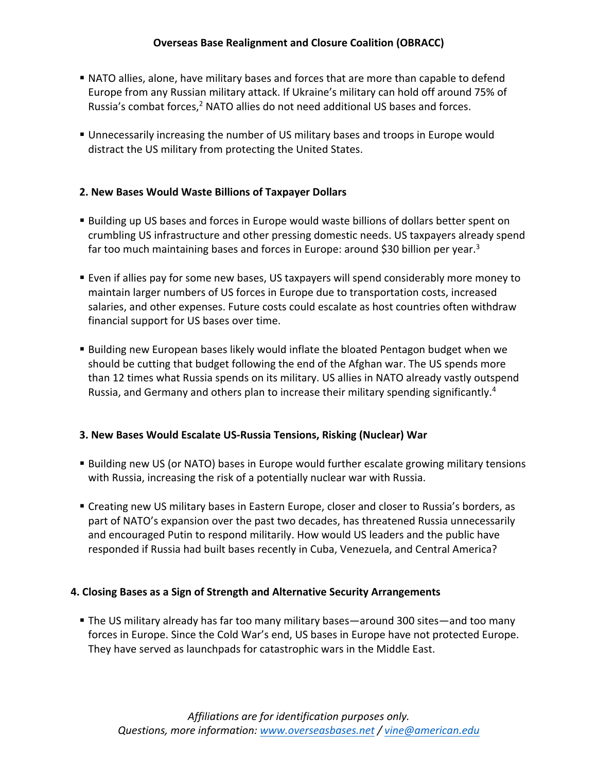- **NATO allies, alone, have military bases and forces that are more than capable to defend** Europe from any Russian military attack. If Ukraine's military can hold off around 75% of Russia's combat forces,<sup>2</sup> NATO allies do not need additional US bases and forces.
- § Unnecessarily increasing the number of US military bases and troops in Europe would distract the US military from protecting the United States.

## **2. New Bases Would Waste Billions of Taxpayer Dollars**

- § Building up US bases and forces in Europe would waste billions of dollars better spent on crumbling US infrastructure and other pressing domestic needs. US taxpayers already spend far too much maintaining bases and forces in Europe: around \$30 billion per year.<sup>3</sup>
- § Even if allies pay for some new bases, US taxpayers will spend considerably more money to maintain larger numbers of US forces in Europe due to transportation costs, increased salaries, and other expenses. Future costs could escalate as host countries often withdraw financial support for US bases over time.
- **Building new European bases likely would inflate the bloated Pentagon budget when we** should be cutting that budget following the end of the Afghan war. The US spends more than 12 times what Russia spends on its military. US allies in NATO already vastly outspend Russia, and Germany and others plan to increase their military spending significantly.4

### **3. New Bases Would Escalate US-Russia Tensions, Risking (Nuclear) War**

- **•** Building new US (or NATO) bases in Europe would further escalate growing military tensions with Russia, increasing the risk of a potentially nuclear war with Russia.
- Creating new US military bases in Eastern Europe, closer and closer to Russia's borders, as part of NATO's expansion over the past two decades, has threatened Russia unnecessarily and encouraged Putin to respond militarily. How would US leaders and the public have responded if Russia had built bases recently in Cuba, Venezuela, and Central America?

### **4. Closing Bases as a Sign of Strength and Alternative Security Arrangements**

**•** The US military already has far too many military bases—around 300 sites—and too many forces in Europe. Since the Cold War's end, US bases in Europe have not protected Europe. They have served as launchpads for catastrophic wars in the Middle East.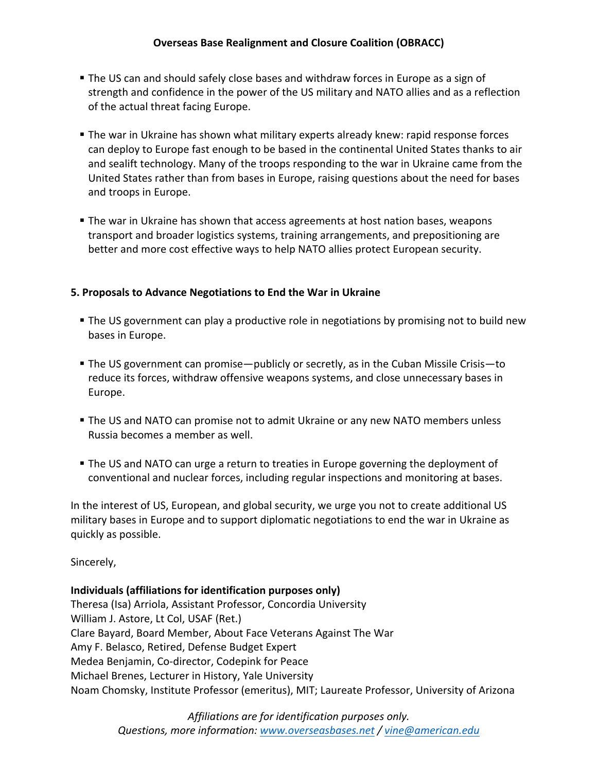### **Overseas Base Realignment and Closure Coalition (OBRACC)**

- § The US can and should safely close bases and withdraw forces in Europe as a sign of strength and confidence in the power of the US military and NATO allies and as a reflection of the actual threat facing Europe.
- **The war in Ukraine has shown what military experts already knew: rapid response forces** can deploy to Europe fast enough to be based in the continental United States thanks to air and sealift technology. Many of the troops responding to the war in Ukraine came from the United States rather than from bases in Europe, raising questions about the need for bases and troops in Europe.
- The war in Ukraine has shown that access agreements at host nation bases, weapons transport and broader logistics systems, training arrangements, and prepositioning are better and more cost effective ways to help NATO allies protect European security.

#### **5. Proposals to Advance Negotiations to End the War in Ukraine**

- **•** The US government can play a productive role in negotiations by promising not to build new bases in Europe.
- The US government can promise—publicly or secretly, as in the Cuban Missile Crisis—to reduce its forces, withdraw offensive weapons systems, and close unnecessary bases in Europe.
- **The US and NATO can promise not to admit Ukraine or any new NATO members unless** Russia becomes a member as well.
- **The US and NATO can urge a return to treaties in Europe governing the deployment of** conventional and nuclear forces, including regular inspections and monitoring at bases.

In the interest of US, European, and global security, we urge you not to create additional US military bases in Europe and to support diplomatic negotiations to end the war in Ukraine as quickly as possible.

Sincerely,

#### **Individuals (affiliations for identification purposes only)**

Theresa (Isa) Arriola, Assistant Professor, Concordia University William J. Astore, Lt Col, USAF (Ret.) Clare Bayard, Board Member, About Face Veterans Against The War Amy F. Belasco, Retired, Defense Budget Expert Medea Benjamin, Co-director, Codepink for Peace Michael Brenes, Lecturer in History, Yale University Noam Chomsky, Institute Professor (emeritus), MIT; Laureate Professor, University of Arizona

> *Affiliations are for identification purposes only. Questions, more information: www.overseasbases.net / vine@american.edu*